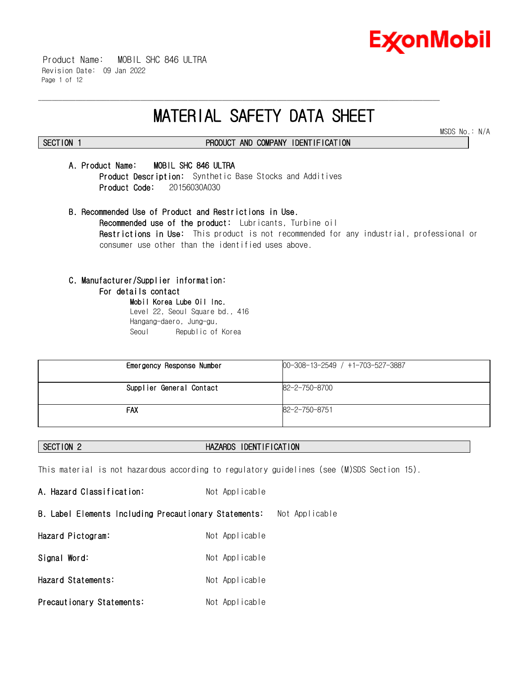

MSDS No.: N/A

 Product Name: MOBIL SHC 846 ULTRA Revision Date: 09 Jan 2022 Page 1 of 12

# **MATERIAL SAFETY DATA SHEET**

\_\_\_\_\_\_\_\_\_\_\_\_\_\_\_\_\_\_\_\_\_\_\_\_\_\_\_\_\_\_\_\_\_\_\_\_\_\_\_\_\_\_\_\_\_\_\_\_\_\_\_\_\_\_\_\_\_\_\_\_\_\_\_\_\_\_\_\_\_\_\_\_\_\_\_\_\_\_\_\_\_\_\_\_\_\_\_\_\_\_\_\_\_\_\_\_\_\_\_\_\_\_\_\_\_\_\_\_\_\_\_\_\_\_\_\_\_\_

**SECTION 1 PRODUCT AND COMPANY IDENTIFICATION**

# **A. Product Name: MOBIL SHC 846 ULTRA**

**Product Description:** Synthetic Base Stocks and Additives  **Product Code:** 20156030A030

**B. Recommended Use of Product and Restrictions in Use. Recommended use of the product:** Lubricants, Turbine oil **Restrictions in Use:** This product is not recommended for any industrial, professional or consumer use other than the identified uses above.

# **C. Manufacturer/Supplier information:**

#### **For details contact**

**Mobil Korea Lube Oil Inc.**  Level 22, Seoul Square bd., 416 Hangang-daero, Jung-gu, Seoul Republic of Korea

| Emergency Response Number | $00-308-13-2549$ / $+1-703-527-3887$ |
|---------------------------|--------------------------------------|
| Supplier General Contact  | 82-2-750-8700                        |
| <b>FAX</b>                | 82-2-750-8751                        |

# **SECTION 2 HAZARDS IDENTIFICATION**

This material is not hazardous according to regulatory guidelines (see (M)SDS Section 15).

A. Hazard Classification: Not Applicable **B. Label Elements Including Precautionary Statements:** Not Applicable **Hazard Pictogram:** Not Applicable Signal Word: Not Applicable **Hazard Statements:** Not Applicable **Precautionary Statements:** Not Applicable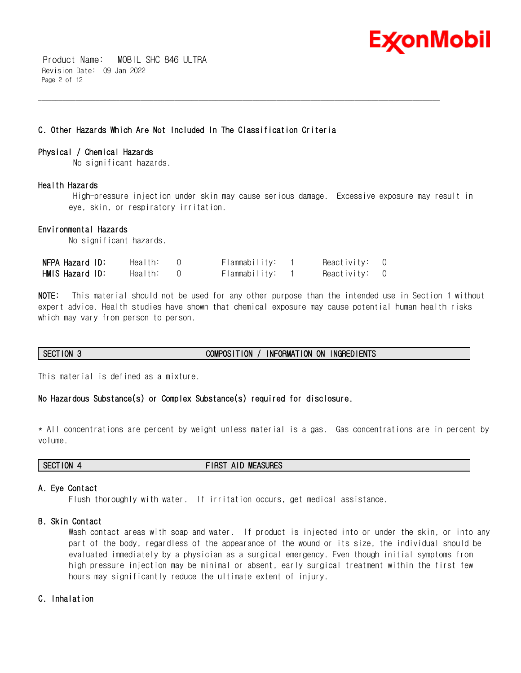

 Product Name: MOBIL SHC 846 ULTRA Revision Date: 09 Jan 2022 Page 2 of 12

# **C. Other Hazards Which Are Not Included In The Classification Criteria**

#### **Physical / Chemical Hazards**

No significant hazards.

#### **Health Hazards**

High-pressure injection under skin may cause serious damage. Excessive exposure may result in eye, skin, or respiratory irritation.

\_\_\_\_\_\_\_\_\_\_\_\_\_\_\_\_\_\_\_\_\_\_\_\_\_\_\_\_\_\_\_\_\_\_\_\_\_\_\_\_\_\_\_\_\_\_\_\_\_\_\_\_\_\_\_\_\_\_\_\_\_\_\_\_\_\_\_\_\_\_\_\_\_\_\_\_\_\_\_\_\_\_\_\_\_\_\_\_\_\_\_\_\_\_\_\_\_\_\_\_\_\_\_\_\_\_\_\_\_\_\_\_\_\_\_\_\_\_

#### **Environmental Hazards**

No significant hazards.

| NFPA Hazard ID: | Health: | Flammability: | Reactivity: 0 |  |
|-----------------|---------|---------------|---------------|--|
| HMIS Hazard ID: | Health: | Flammability: | Reactivity: 0 |  |

**NOTE:** This material should not be used for any other purpose than the intended use in Section 1 without expert advice. Health studies have shown that chemical exposure may cause potential human health risks which may vary from person to person.

# **SECTION 3 COMPOSITION / INFORMATION ON INGREDIENTS**

This material is defined as a mixture.

# **No Hazardous Substance(s) or Complex Substance(s) required for disclosure.**

\* All concentrations are percent by weight unless material is a gas. Gas concentrations are in percent by volume.

**SECTION 4 FIRST AID MEASURES**

#### **A. Eye Contact**

Flush thoroughly with water. If irritation occurs, get medical assistance.

# **B. Skin Contact**

Wash contact areas with soap and water. If product is injected into or under the skin, or into any part of the body, regardless of the appearance of the wound or its size, the individual should be evaluated immediately by a physician as a surgical emergency. Even though initial symptoms from high pressure injection may be minimal or absent, early surgical treatment within the first few hours may significantly reduce the ultimate extent of injury.

# **C. Inhalation**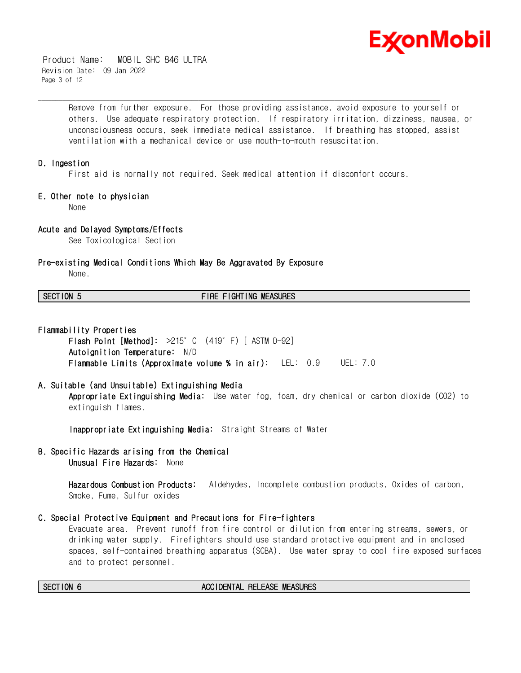

 Product Name: MOBIL SHC 846 ULTRA Revision Date: 09 Jan 2022 Page 3 of 12

> Remove from further exposure. For those providing assistance, avoid exposure to yourself or others. Use adequate respiratory protection. If respiratory irritation, dizziness, nausea, or unconsciousness occurs, seek immediate medical assistance. If breathing has stopped, assist ventilation with a mechanical device or use mouth-to-mouth resuscitation.

#### **D. Ingestion**

First aid is normally not required. Seek medical attention if discomfort occurs.

\_\_\_\_\_\_\_\_\_\_\_\_\_\_\_\_\_\_\_\_\_\_\_\_\_\_\_\_\_\_\_\_\_\_\_\_\_\_\_\_\_\_\_\_\_\_\_\_\_\_\_\_\_\_\_\_\_\_\_\_\_\_\_\_\_\_\_\_\_\_\_\_\_\_\_\_\_\_\_\_\_\_\_\_\_\_\_\_\_\_\_\_\_\_\_\_\_\_\_\_\_\_\_\_\_\_\_\_\_\_\_\_\_\_\_\_\_\_

#### **E. Other note to physician**

None

# **Acute and Delayed Symptoms/Effects**

See Toxicological Section

#### **Pre-existing Medical Conditions Which May Be Aggravated By Exposure**

None.

#### **SECTION 5 FIRE FIGHTING MEASURES**

**Flammability Properties** 

**Flash Point [Method]:** >215°C (419°F) [ ASTM D-92] **Autoignition Temperature:** N/D **Flammable Limits (Approximate volume % in air):** LEL: 0.9 UEL: 7.0

**A. Suitable (and Unsuitable) Extinguishing Media Appropriate Extinguishing Media:** Use water fog, foam, dry chemical or carbon dioxide (CO2) to extinguish flames.

**Inappropriate Extinguishing Media:** Straight Streams of Water

**B. Specific Hazards arising from the Chemical Unusual Fire Hazards:** None

> **Hazardous Combustion Products:** Aldehydes, Incomplete combustion products, Oxides of carbon, Smoke, Fume, Sulfur oxides

# **C. Special Protective Equipment and Precautions for Fire-fighters**

Evacuate area. Prevent runoff from fire control or dilution from entering streams, sewers, or drinking water supply. Firefighters should use standard protective equipment and in enclosed spaces, self-contained breathing apparatus (SCBA). Use water spray to cool fire exposed surfaces and to protect personnel.

#### **SECTION 6 ACCIDENTAL RELEASE MEASURES**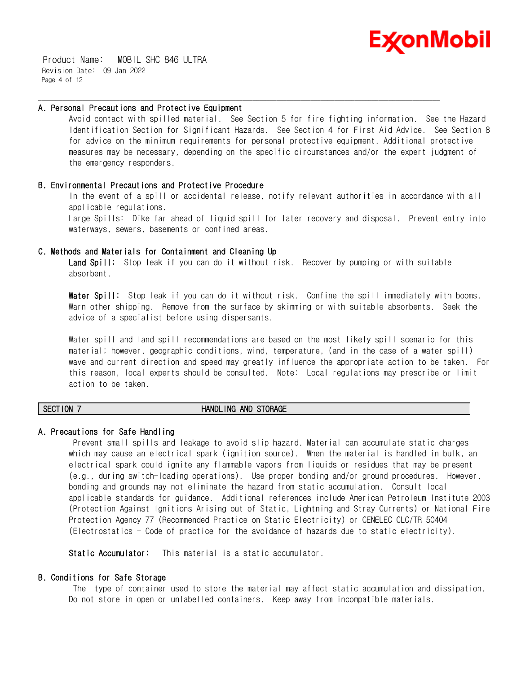

 Product Name: MOBIL SHC 846 ULTRA Revision Date: 09 Jan 2022 Page 4 of 12

#### **A. Personal Precautions and Protective Equipment**

Avoid contact with spilled material. See Section 5 for fire fighting information. See the Hazard Identification Section for Significant Hazards. See Section 4 for First Aid Advice. See Section 8 for advice on the minimum requirements for personal protective equipment. Additional protective measures may be necessary, depending on the specific circumstances and/or the expert judgment of the emergency responders.

\_\_\_\_\_\_\_\_\_\_\_\_\_\_\_\_\_\_\_\_\_\_\_\_\_\_\_\_\_\_\_\_\_\_\_\_\_\_\_\_\_\_\_\_\_\_\_\_\_\_\_\_\_\_\_\_\_\_\_\_\_\_\_\_\_\_\_\_\_\_\_\_\_\_\_\_\_\_\_\_\_\_\_\_\_\_\_\_\_\_\_\_\_\_\_\_\_\_\_\_\_\_\_\_\_\_\_\_\_\_\_\_\_\_\_\_\_\_

# **B. Environmental Precautions and Protective Procedure**

In the event of a spill or accidental release, notify relevant authorities in accordance with all applicable regulations.

Large Spills: Dike far ahead of liquid spill for later recovery and disposal. Prevent entry into waterways, sewers, basements or confined areas.

#### **C. Methods and Materials for Containment and Cleaning Up**

**Land Spill:** Stop leak if you can do it without risk. Recover by pumping or with suitable absorbent.

**Water Spill:** Stop leak if you can do it without risk. Confine the spill immediately with booms. Warn other shipping. Remove from the surface by skimming or with suitable absorbents. Seek the advice of a specialist before using dispersants.

Water spill and land spill recommendations are based on the most likely spill scenario for this material; however, geographic conditions, wind, temperature, (and in the case of a water spill) wave and current direction and speed may greatly influence the appropriate action to be taken. For this reason, local experts should be consulted. Note: Local regulations may prescribe or limit action to be taken.

#### **SECTION 7 HANDLING AND STORAGE**

# **A. Precautions for Safe Handling**

Prevent small spills and leakage to avoid slip hazard. Material can accumulate static charges which may cause an electrical spark (ignition source). When the material is handled in bulk, an electrical spark could ignite any flammable vapors from liquids or residues that may be present (e.g., during switch-loading operations). Use proper bonding and/or ground procedures. However, bonding and grounds may not eliminate the hazard from static accumulation. Consult local applicable standards for guidance. Additional references include American Petroleum Institute 2003 (Protection Against Ignitions Arising out of Static, Lightning and Stray Currents) or National Fire Protection Agency 77 (Recommended Practice on Static Electricity) or CENELEC CLC/TR 50404 (Electrostatics - Code of practice for the avoidance of hazards due to static electricity).

**Static Accumulator:** This material is a static accumulator.

# **B. Conditions for Safe Storage**

The type of container used to store the material may affect static accumulation and dissipation. Do not store in open or unlabelled containers. Keep away from incompatible materials.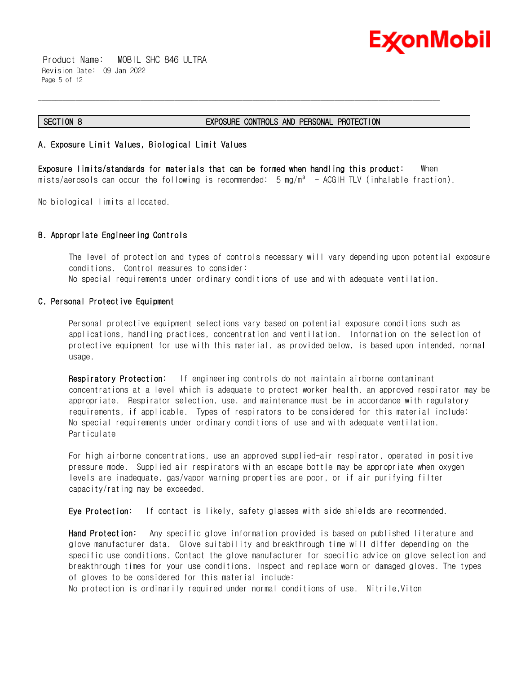

 Product Name: MOBIL SHC 846 ULTRA Revision Date: 09 Jan 2022 Page 5 of 12

#### **SECTION 8 EXPOSURE CONTROLS AND PERSONAL PROTECTION**

# **A. Exposure Limit Values, Biological Limit Values**

**Exposure limits/standards for materials that can be formed when handling this product:** When mists/aerosols can occur the following is recommended:  $5 \text{ mg/m}^3$  - ACGIH TLV (inhalable fraction).

\_\_\_\_\_\_\_\_\_\_\_\_\_\_\_\_\_\_\_\_\_\_\_\_\_\_\_\_\_\_\_\_\_\_\_\_\_\_\_\_\_\_\_\_\_\_\_\_\_\_\_\_\_\_\_\_\_\_\_\_\_\_\_\_\_\_\_\_\_\_\_\_\_\_\_\_\_\_\_\_\_\_\_\_\_\_\_\_\_\_\_\_\_\_\_\_\_\_\_\_\_\_\_\_\_\_\_\_\_\_\_\_\_\_\_\_\_\_

No biological limits allocated.

# **B. Appropriate Engineering Controls**

The level of protection and types of controls necessary will vary depending upon potential exposure conditions. Control measures to consider: No special requirements under ordinary conditions of use and with adequate ventilation.

# **C. Personal Protective Equipment**

Personal protective equipment selections vary based on potential exposure conditions such as applications, handling practices, concentration and ventilation. Information on the selection of protective equipment for use with this material, as provided below, is based upon intended, normal usage.

**Respiratory Protection:** If engineering controls do not maintain airborne contaminant concentrations at a level which is adequate to protect worker health, an approved respirator may be appropriate. Respirator selection, use, and maintenance must be in accordance with regulatory requirements, if applicable. Types of respirators to be considered for this material include: No special requirements under ordinary conditions of use and with adequate ventilation. Particulate

For high airborne concentrations, use an approved supplied-air respirator, operated in positive pressure mode. Supplied air respirators with an escape bottle may be appropriate when oxygen levels are inadequate, gas/vapor warning properties are poor, or if air purifying filter capacity/rating may be exceeded.

**Eye Protection:** If contact is likely, safety glasses with side shields are recommended.

**Hand Protection:** Any specific glove information provided is based on published literature and glove manufacturer data. Glove suitability and breakthrough time will differ depending on the specific use conditions. Contact the glove manufacturer for specific advice on glove selection and breakthrough times for your use conditions. Inspect and replace worn or damaged gloves. The types of gloves to be considered for this material include:

No protection is ordinarily required under normal conditions of use. Nitrile,Viton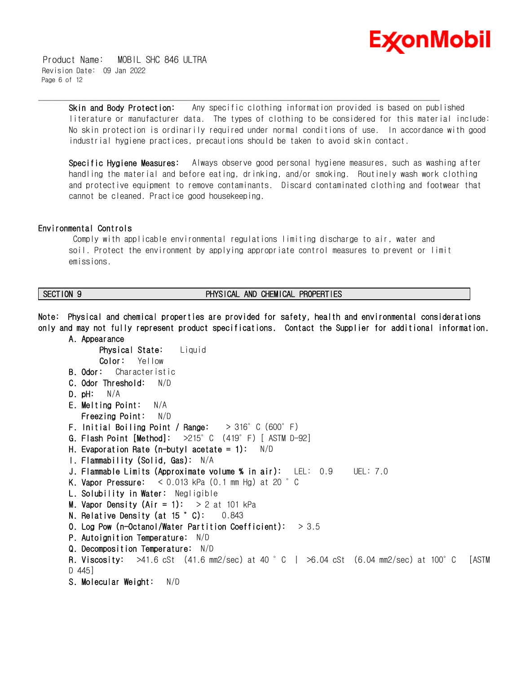

 Product Name: MOBIL SHC 846 ULTRA Revision Date: 09 Jan 2022 Page 6 of 12

> **Skin and Body Protection:** Any specific clothing information provided is based on published literature or manufacturer data. The types of clothing to be considered for this material include: No skin protection is ordinarily required under normal conditions of use. In accordance with good industrial hygiene practices, precautions should be taken to avoid skin contact.

\_\_\_\_\_\_\_\_\_\_\_\_\_\_\_\_\_\_\_\_\_\_\_\_\_\_\_\_\_\_\_\_\_\_\_\_\_\_\_\_\_\_\_\_\_\_\_\_\_\_\_\_\_\_\_\_\_\_\_\_\_\_\_\_\_\_\_\_\_\_\_\_\_\_\_\_\_\_\_\_\_\_\_\_\_\_\_\_\_\_\_\_\_\_\_\_\_\_\_\_\_\_\_\_\_\_\_\_\_\_\_\_\_\_\_\_\_\_

**Specific Hygiene Measures:** Always observe good personal hygiene measures, such as washing after handling the material and before eating, drinking, and/or smoking. Routinely wash work clothing and protective equipment to remove contaminants. Discard contaminated clothing and footwear that cannot be cleaned. Practice good housekeeping.

#### **Environmental Controls**

Comply with applicable environmental regulations limiting discharge to air, water and soil. Protect the environment by applying appropriate control measures to prevent or limit emissions.

# **SECTION 9 PHYSICAL AND CHEMICAL PROPERTIES**

**Note: Physical and chemical properties are provided for safety, health and environmental considerations only and may not fully represent product specifications. Contact the Supplier for additional information.** 

```
 A. Appearance
      Physical State: Liquid
      Color: Yellow
B. Odor: Characteristic
C. Odor Threshold: N/D
D. pH: N/A
E. Melting Point: N/A
   Freezing Point: N/D
 F. Initial Boiling Point / Range: > 316°C (600°F)
G. Flash Point [Method]: >215°C (419°F) [ ASTM D-92]
H. Evaporation Rate (n-butyl acetate = 1): N/D 
I. Flammability (Solid, Gas): N/A
J. Flammable Limits (Approximate volume % in air): LEL: 0.9 UEL: 7.0
K. Vapor Pressure: < 0.013 kPa (0.1 mm Hg) at 20 °C
 L. Solubility in Water: Negligible
M. Vapor Density (Air = 1): > 2 at 101 kPa
N. Relative Density (at 15 °C): 0.843
O. Log Pow (n-Octanol/Water Partition Coefficient): > 3.5
P. Autoignition Temperature: N/D
Q. Decomposition Temperature: N/D
R. Viscosity: >41.6 cSt (41.6 mm2/sec) at 40 °C | >6.04 cSt (6.04 mm2/sec) at 100°C [ASTM
D 445]
S. Molecular Weight: N/D
```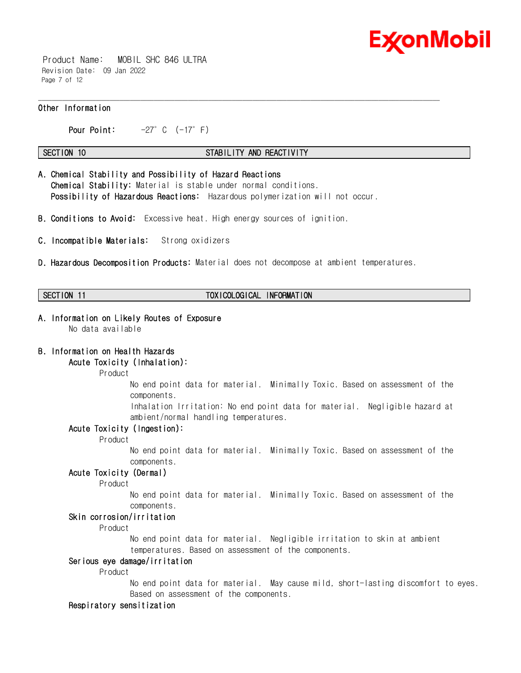

 Product Name: MOBIL SHC 846 ULTRA Revision Date: 09 Jan 2022 Page 7 of 12

# **Other Information**

**Pour Point:** -27°C (-17°F)

#### **SECTION 10 STABILITY AND REACTIVITY**

\_\_\_\_\_\_\_\_\_\_\_\_\_\_\_\_\_\_\_\_\_\_\_\_\_\_\_\_\_\_\_\_\_\_\_\_\_\_\_\_\_\_\_\_\_\_\_\_\_\_\_\_\_\_\_\_\_\_\_\_\_\_\_\_\_\_\_\_\_\_\_\_\_\_\_\_\_\_\_\_\_\_\_\_\_\_\_\_\_\_\_\_\_\_\_\_\_\_\_\_\_\_\_\_\_\_\_\_\_\_\_\_\_\_\_\_\_\_

- **A. Chemical Stability and Possibility of Hazard Reactions Chemical Stability:** Material is stable under normal conditions.  **Possibility of Hazardous Reactions:** Hazardous polymerization will not occur.
- **B. Conditions to Avoid:** Excessive heat. High energy sources of ignition.
- **C. Incompatible Materials:** Strong oxidizers
- **D. Hazardous Decomposition Products:** Material does not decompose at ambient temperatures.

# **SECTION 11 TOXICOLOGICAL INFORMATION**

#### **A. Information on Likely Routes of Exposure**  No data available

# **B. Information on Health Hazards**

# **Acute Toxicity (Inhalation):**

Product

No end point data for material. Minimally Toxic. Based on assessment of the components.

Inhalation Irritation: No end point data for material. Negligible hazard at ambient/normal handling temperatures.

#### **Acute Toxicity (Ingestion):**

Product

No end point data for material. Minimally Toxic. Based on assessment of the components.

#### **Acute Toxicity (Dermal)**

Product

No end point data for material. Minimally Toxic. Based on assessment of the components.

# **Skin corrosion/irritation**

Product

No end point data for material. Negligible irritation to skin at ambient temperatures. Based on assessment of the components.

# **Serious eye damage/irritation**

Product

No end point data for material. May cause mild, short-lasting discomfort to eyes. Based on assessment of the components.

#### **Respiratory sensitization**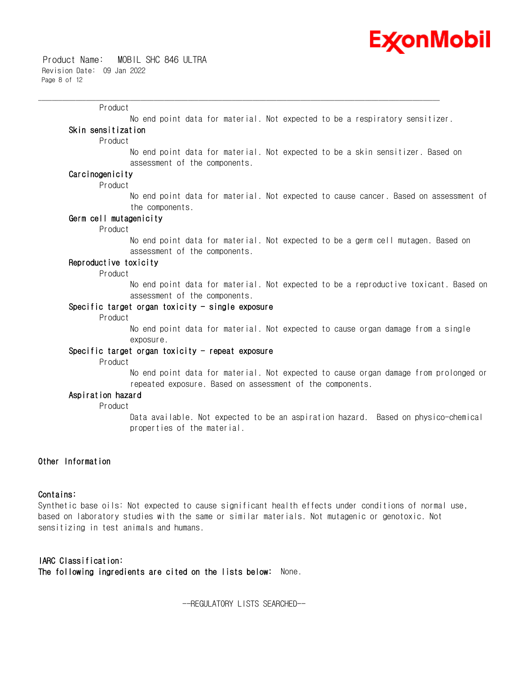

#### Product

No end point data for material. Not expected to be a respiratory sensitizer.

\_\_\_\_\_\_\_\_\_\_\_\_\_\_\_\_\_\_\_\_\_\_\_\_\_\_\_\_\_\_\_\_\_\_\_\_\_\_\_\_\_\_\_\_\_\_\_\_\_\_\_\_\_\_\_\_\_\_\_\_\_\_\_\_\_\_\_\_\_\_\_\_\_\_\_\_\_\_\_\_\_\_\_\_\_\_\_\_\_\_\_\_\_\_\_\_\_\_\_\_\_\_\_\_\_\_\_\_\_\_\_\_\_\_\_\_\_\_

# **Skin sensitization**

Product

No end point data for material. Not expected to be a skin sensitizer. Based on assessment of the components.

# **Carcinogenicity**

Product

No end point data for material. Not expected to cause cancer. Based on assessment of the components.

### **Germ cell mutagenicity**

Product

No end point data for material. Not expected to be a germ cell mutagen. Based on assessment of the components.

# **Reproductive toxicity**

Product

No end point data for material. Not expected to be a reproductive toxicant. Based on assessment of the components.

#### **Specific target organ toxicity - single exposure**

Product

No end point data for material. Not expected to cause organ damage from a single exposure.

#### **Specific target organ toxicity - repeat exposure**

Product

No end point data for material. Not expected to cause organ damage from prolonged or repeated exposure. Based on assessment of the components.

# **Aspiration hazard**

Product

Data available. Not expected to be an aspiration hazard. Based on physico-chemical properties of the material.

#### **Other Information**

#### **Contains:**

Synthetic base oils: Not expected to cause significant health effects under conditions of normal use, based on laboratory studies with the same or similar materials. Not mutagenic or genotoxic. Not sensitizing in test animals and humans.

**IARC Classification: The following ingredients are cited on the lists below:** None.

--REGULATORY LISTS SEARCHED--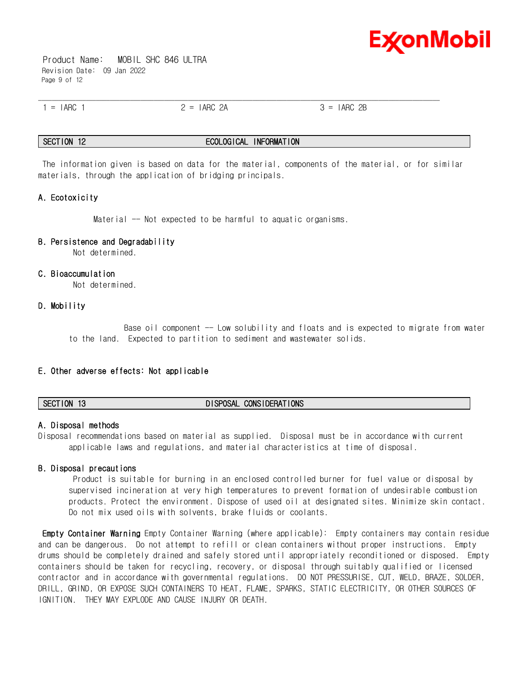

 Product Name: MOBIL SHC 846 ULTRA Revision Date: 09 Jan 2022 Page 9 of 12

| $\overline{\phantom{0}}$<br>$\overline{\phantom{0}}$<br>-11. | $\overline{\phantom{0}}$<br>$\overline{\phantom{0}}$<br><u>_</u><br>$\sim$<br>. | ∩г<br>$\overline{\phantom{0}}$<br>$\sim$ $\sim$ |  |
|--------------------------------------------------------------|---------------------------------------------------------------------------------|-------------------------------------------------|--|

#### **SECTION 12 ECOLOGICAL INFORMATION**

The information given is based on data for the material, components of the material, or for similar materials, through the application of bridging principals.

# **A. Ecotoxicity**

Material -- Not expected to be harmful to aquatic organisms.

#### **B. Persistence and Degradability**

Not determined.

#### **C. Bioaccumulation**

Not determined.

#### **D. Mobility**

Base oil component -- Low solubility and floats and is expected to migrate from water to the land. Expected to partition to sediment and wastewater solids.

#### **E. Other adverse effects: Not applicable**

# **A. Disposal methods**

Disposal recommendations based on material as supplied. Disposal must be in accordance with current applicable laws and regulations, and material characteristics at time of disposal.

#### **B. Disposal precautions**

Product is suitable for burning in an enclosed controlled burner for fuel value or disposal by supervised incineration at very high temperatures to prevent formation of undesirable combustion products. Protect the environment. Dispose of used oil at designated sites. Minimize skin contact. Do not mix used oils with solvents, brake fluids or coolants.

**Empty Container Warning** Empty Container Warning (where applicable): Empty containers may contain residue and can be dangerous. Do not attempt to refill or clean containers without proper instructions. Empty drums should be completely drained and safely stored until appropriately reconditioned or disposed. Empty containers should be taken for recycling, recovery, or disposal through suitably qualified or licensed contractor and in accordance with governmental regulations. DO NOT PRESSURISE, CUT, WELD, BRAZE, SOLDER, DRILL, GRIND, OR EXPOSE SUCH CONTAINERS TO HEAT, FLAME, SPARKS, STATIC ELECTRICITY, OR OTHER SOURCES OF IGNITION. THEY MAY EXPLODE AND CAUSE INJURY OR DEATH.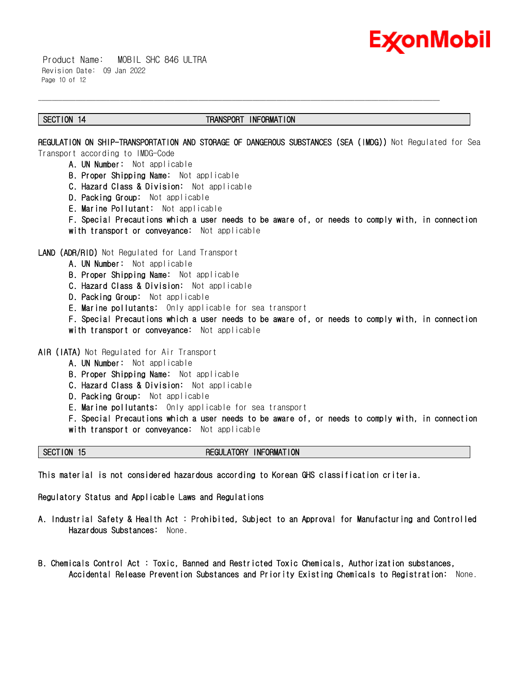

 Product Name: MOBIL SHC 846 ULTRA Revision Date: 09 Jan 2022 Page 10 of 12

#### **SECTION 14 TRANSPORT INFORMATION**

\_\_\_\_\_\_\_\_\_\_\_\_\_\_\_\_\_\_\_\_\_\_\_\_\_\_\_\_\_\_\_\_\_\_\_\_\_\_\_\_\_\_\_\_\_\_\_\_\_\_\_\_\_\_\_\_\_\_\_\_\_\_\_\_\_\_\_\_\_\_\_\_\_\_\_\_\_\_\_\_\_\_\_\_\_\_\_\_\_\_\_\_\_\_\_\_\_\_\_\_\_\_\_\_\_\_\_\_\_\_\_\_\_\_\_\_\_\_

**REGULATION ON SHIP-TRANSPORTATION AND STORAGE OF DANGEROUS SUBSTANCES (SEA (IMDG))** Not Regulated for Sea Transport according to IMDG-Code

- **A. UN Number:** Not applicable
- **B. Proper Shipping Name:** Not applicable
- **C. Hazard Class & Division:** Not applicable
- **D. Packing Group:** Not applicable
- **E. Marine Pollutant:** Not applicable
- **F. Special Precautions which a user needs to be aware of, or needs to comply with, in connection with transport or conveyance:** Not applicable

**LAND (ADR/RID)** Not Regulated for Land Transport

- **A. UN Number:** Not applicable
- **B. Proper Shipping Name:** Not applicable
- **C. Hazard Class & Division:** Not applicable
- **D. Packing Group:** Not applicable
- **E. Marine pollutants:** Only applicable for sea transport
- **F. Special Precautions which a user needs to be aware of, or needs to comply with, in connection**
- **with transport or conveyance:** Not applicable

**AIR (IATA)** Not Regulated for Air Transport

- **A. UN Number:** Not applicable
- **B. Proper Shipping Name:** Not applicable
- **C. Hazard Class & Division:** Not applicable
- **D. Packing Group:** Not applicable
- **E. Marine pollutants:** Only applicable for sea transport
- **F. Special Precautions which a user needs to be aware of, or needs to comply with, in connection with transport or conveyance:** Not applicable

#### **SECTION 15 REGULATORY INFORMATION**

**This material is not considered hazardous according to Korean GHS classification criteria.** 

**Regulatory Status and Applicable Laws and Regulations** 

- **A. Industrial Safety & Health Act : Prohibited, Subject to an Approval for Manufacturing and Controlled Hazardous Substances:** None.
- **B. Chemicals Control Act : Toxic, Banned and Restricted Toxic Chemicals, Authorization substances, Accidental Release Prevention Substances and Priority Existing Chemicals to Registration:** None.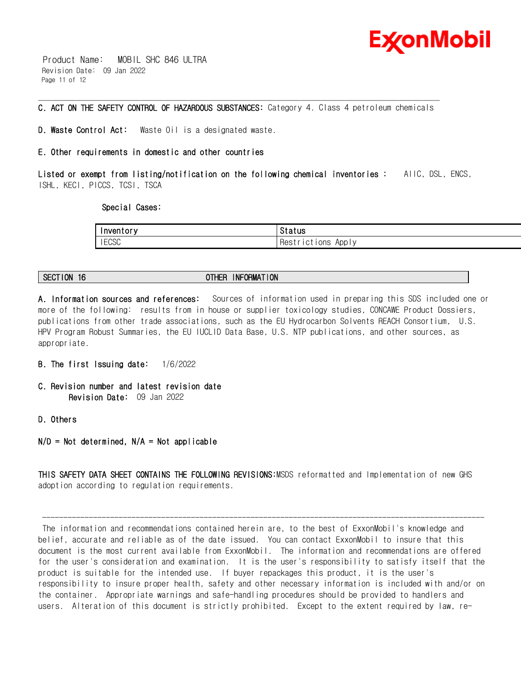

 Product Name: MOBIL SHC 846 ULTRA Revision Date: 09 Jan 2022 Page 11 of 12

#### \_\_\_\_\_\_\_\_\_\_\_\_\_\_\_\_\_\_\_\_\_\_\_\_\_\_\_\_\_\_\_\_\_\_\_\_\_\_\_\_\_\_\_\_\_\_\_\_\_\_\_\_\_\_\_\_\_\_\_\_\_\_\_\_\_\_\_\_\_\_\_\_\_\_\_\_\_\_\_\_\_\_\_\_\_\_\_\_\_\_\_\_\_\_\_\_\_\_\_\_\_\_\_\_\_\_\_\_\_\_\_\_\_\_\_\_\_\_ **C. ACT ON THE SAFETY CONTROL OF HAZARDOUS SUBSTANCES:** Category 4. Class 4 petroleum chemicals

**D. Waste Control Act:** Waste Oil is a designated waste.

# **E. Other requirements in domestic and other countries**

**Listed or exempt from listing/notification on the following chemical inventories :** AIIC, DSL, ENCS, ISHL, KECI, PICCS, TCSI, TSCA

#### **Special Cases:**

| Inventory    | Status                       |
|--------------|------------------------------|
| <b>IECSC</b> | Apply<br>ICTIONS<br>Hest<br> |

**SECTION 16 OTHER INFORMATION**

**A. Information sources and references:** Sources of information used in preparing this SDS included one or more of the following: results from in house or supplier toxicology studies, CONCAWE Product Dossiers, publications from other trade associations, such as the EU Hydrocarbon Solvents REACH Consortium, U.S. HPV Program Robust Summaries, the EU IUCLID Data Base, U.S. NTP publications, and other sources, as appropriate.

- **B. The first Issuing date:** 1/6/2022
- **C. Revision number and latest revision date Revision Date:** 09 Jan 2022
- **D. Others**
- **N/D = Not determined, N/A = Not applicable**

**THIS SAFETY DATA SHEET CONTAINS THE FOLLOWING REVISIONS:**MSDS reformatted and Implementation of new GHS adoption according to regulation requirements.

The information and recommendations contained herein are, to the best of ExxonMobil's knowledge and belief, accurate and reliable as of the date issued. You can contact ExxonMobil to insure that this document is the most current available from ExxonMobil. The information and recommendations are offered for the user's consideration and examination. It is the user's responsibility to satisfy itself that the product is suitable for the intended use. If buyer repackages this product, it is the user's responsibility to insure proper health, safety and other necessary information is included with and/or on the container. Appropriate warnings and safe-handling procedures should be provided to handlers and users. Alteration of this document is strictly prohibited. Except to the extent required by law, re-

--------------------------------------------------------------------------------------------------------